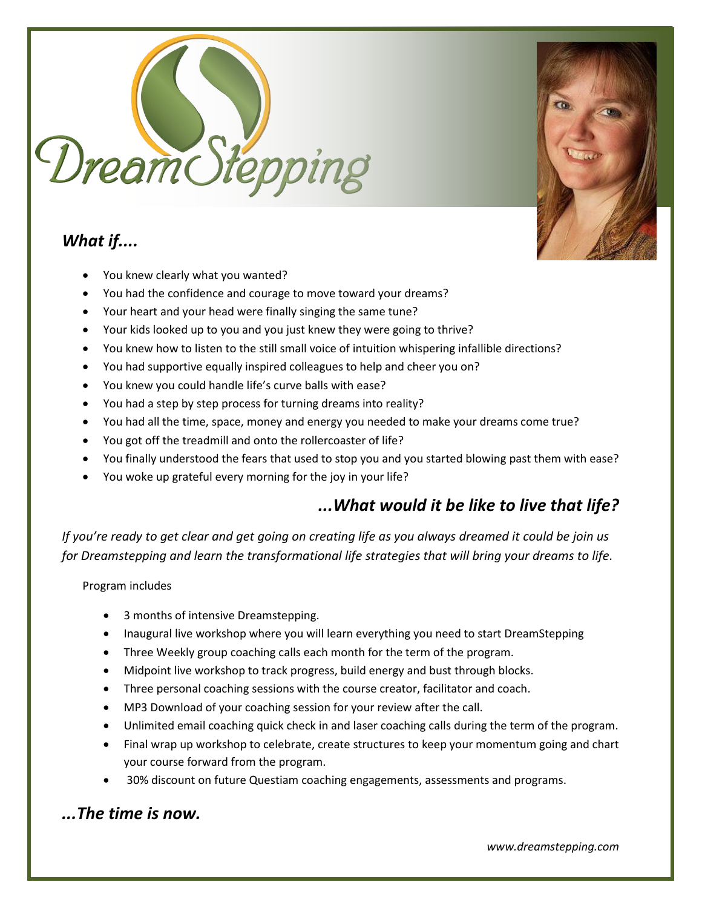

# *What if....*



- You knew clearly what you wanted?
- You had the confidence and courage to move toward your dreams?
- Your heart and your head were finally singing the same tune?
- Your kids looked up to you and you just knew they were going to thrive?
- You knew how to listen to the still small voice of intuition whispering infallible directions?
- You had supportive equally inspired colleagues to help and cheer you on?
- You knew you could handle life's curve balls with ease?
- You had a step by step process for turning dreams into reality?
- You had all the time, space, money and energy you needed to make your dreams come true?
- You got off the treadmill and onto the rollercoaster of life?
- You finally understood the fears that used to stop you and you started blowing past them with ease?
- You woke up grateful every morning for the joy in your life?

## *...What would it be like to live that life?*

*If you're ready to get clear and get going on creating life as you always dreamed it could be join us for Dreamstepping and learn the transformational life strategies that will bring your dreams to life.* 

Program includes

- 3 months of intensive Dreamstepping.
- Inaugural live workshop where you will learn everything you need to start DreamStepping
- Three Weekly group coaching calls each month for the term of the program.
- Midpoint live workshop to track progress, build energy and bust through blocks.
- Three personal coaching sessions with the course creator, facilitator and coach.
- MP3 Download of your coaching session for your review after the call.
- Unlimited email coaching quick check in and laser coaching calls during the term of the program.
- Final wrap up workshop to celebrate, create structures to keep your momentum going and chart your course forward from the program.
- 30% discount on future Questiam coaching engagements, assessments and programs.

## *...The time is now.*

*www.dreamstepping.com*